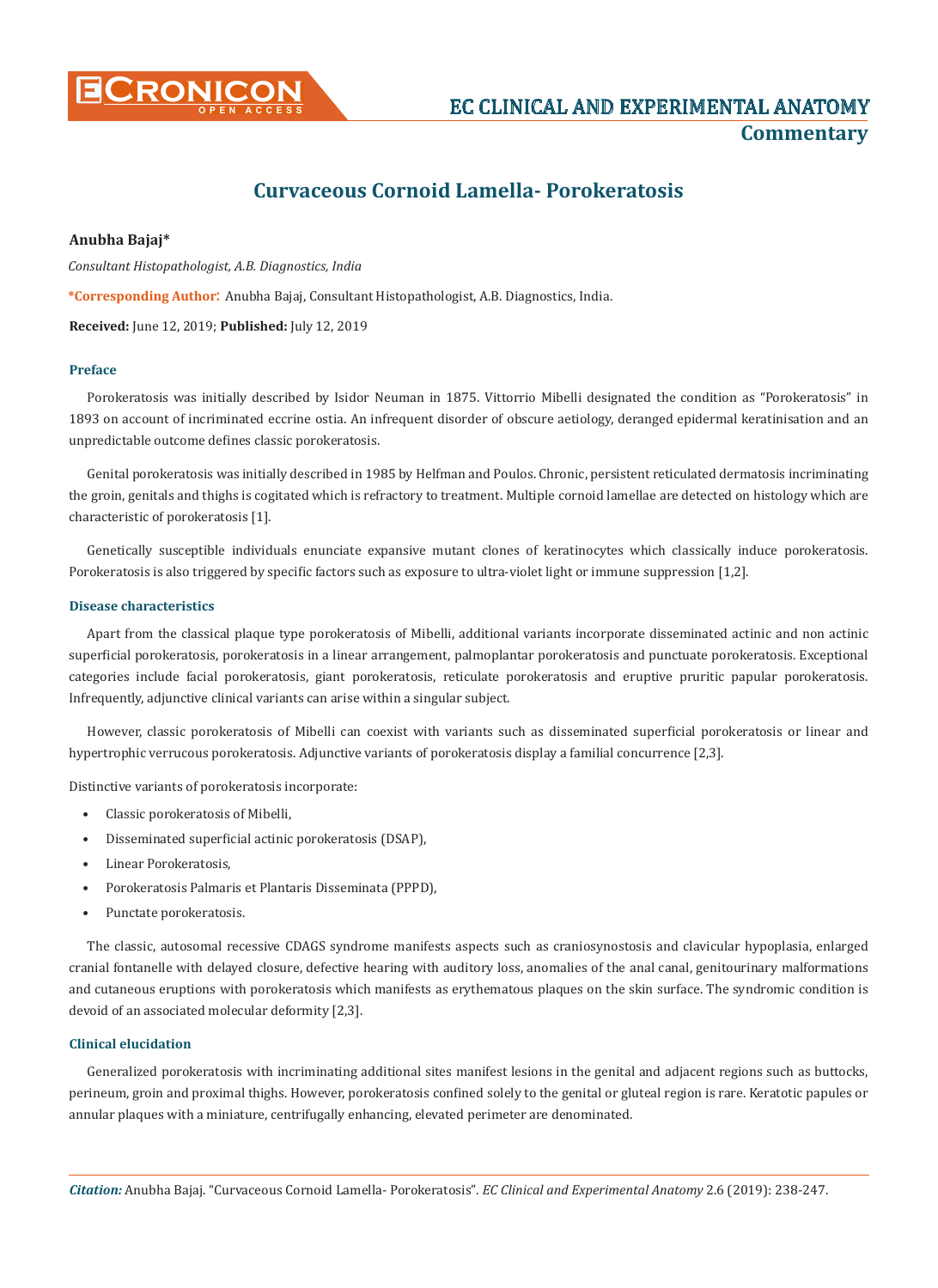

# **Curvaceous Cornoid Lamella- Porokeratosis**

# **Anubha Bajaj\***

*Consultant Histopathologist, A.B. Diagnostics, India*

**\*Corresponding Author**: Anubha Bajaj, Consultant Histopathologist, A.B. Diagnostics, India.

**Received:** June 12, 2019; **Published:** July 12, 2019

# **Preface**

Porokeratosis was initially described by Isidor Neuman in 1875. Vittorrio Mibelli designated the condition as "Porokeratosis" in 1893 on account of incriminated eccrine ostia. An infrequent disorder of obscure aetiology, deranged epidermal keratinisation and an unpredictable outcome defines classic porokeratosis.

Genital porokeratosis was initially described in 1985 by Helfman and Poulos. Chronic, persistent reticulated dermatosis incriminating the groin, genitals and thighs is cogitated which is refractory to treatment. Multiple cornoid lamellae are detected on histology which are characteristic of porokeratosis [1].

Genetically susceptible individuals enunciate expansive mutant clones of keratinocytes which classically induce porokeratosis. Porokeratosis is also triggered by specific factors such as exposure to ultra-violet light or immune suppression [1,2].

## **Disease characteristics**

Apart from the classical plaque type porokeratosis of Mibelli, additional variants incorporate disseminated actinic and non actinic superficial porokeratosis, porokeratosis in a linear arrangement, palmoplantar porokeratosis and punctuate porokeratosis. Exceptional categories include facial porokeratosis, giant porokeratosis, reticulate porokeratosis and eruptive pruritic papular porokeratosis. Infrequently, adjunctive clinical variants can arise within a singular subject.

However, classic porokeratosis of Mibelli can coexist with variants such as disseminated superficial porokeratosis or linear and hypertrophic verrucous porokeratosis. Adjunctive variants of porokeratosis display a familial concurrence [2,3].

Distinctive variants of porokeratosis incorporate:

- Classic porokeratosis of Mibelli,
- Disseminated superficial actinic porokeratosis (DSAP),
- Linear Porokeratosis,
- Porokeratosis Palmaris et Plantaris Disseminata (PPPD),
- Punctate porokeratosis.

The classic, autosomal recessive CDAGS syndrome manifests aspects such as craniosynostosis and clavicular hypoplasia, enlarged cranial fontanelle with delayed closure, defective hearing with auditory loss, anomalies of the anal canal, genitourinary malformations and cutaneous eruptions with porokeratosis which manifests as erythematous plaques on the skin surface. The syndromic condition is devoid of an associated molecular deformity [2,3].

# **Clinical elucidation**

Generalized porokeratosis with incriminating additional sites manifest lesions in the genital and adjacent regions such as buttocks, perineum, groin and proximal thighs. However, porokeratosis confined solely to the genital or gluteal region is rare. Keratotic papules or annular plaques with a miniature, centrifugally enhancing, elevated perimeter are denominated.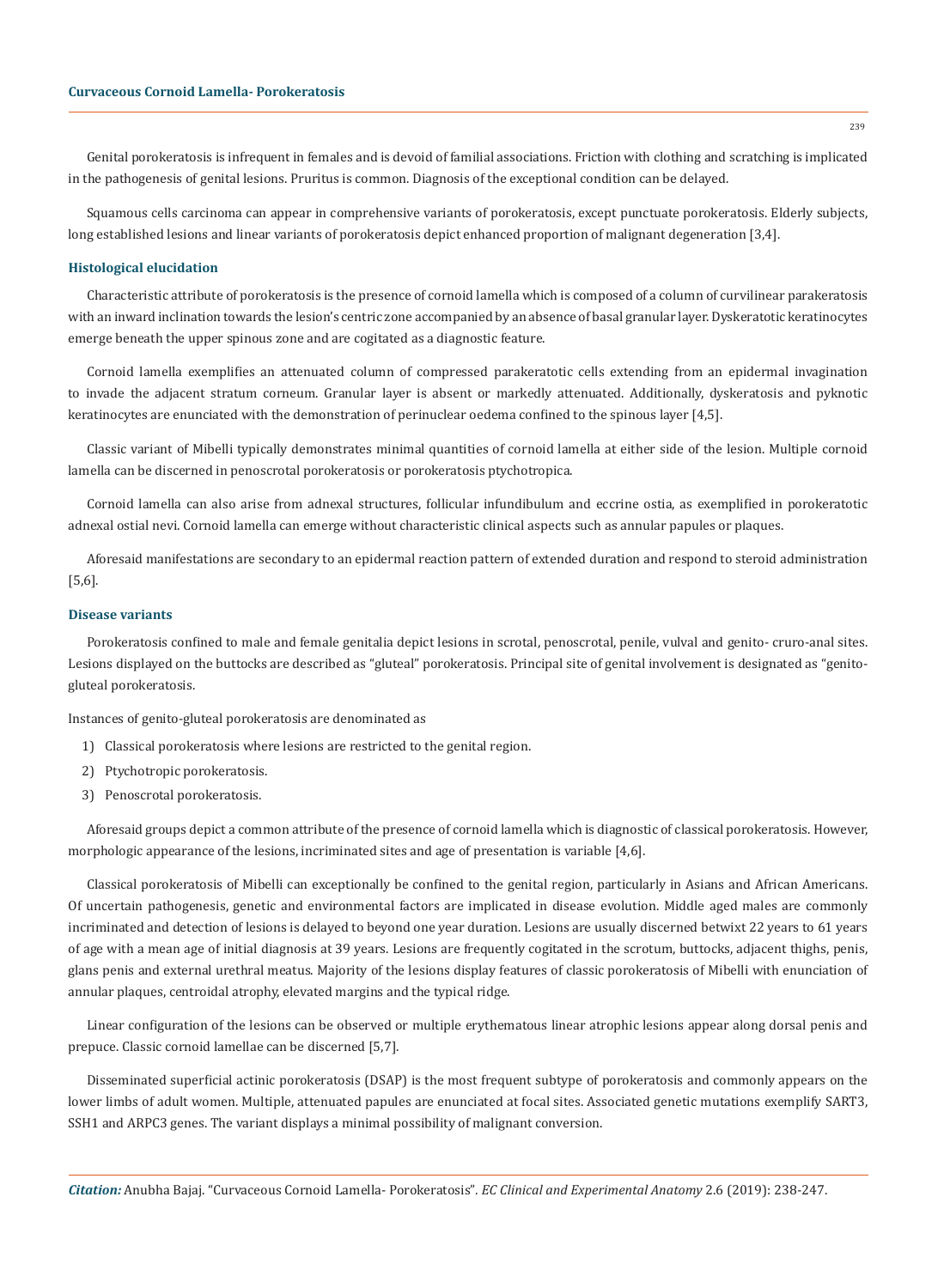Genital porokeratosis is infrequent in females and is devoid of familial associations. Friction with clothing and scratching is implicated in the pathogenesis of genital lesions. Pruritus is common. Diagnosis of the exceptional condition can be delayed.

Squamous cells carcinoma can appear in comprehensive variants of porokeratosis, except punctuate porokeratosis. Elderly subjects, long established lesions and linear variants of porokeratosis depict enhanced proportion of malignant degeneration [3,4].

### **Histological elucidation**

Characteristic attribute of porokeratosis is the presence of cornoid lamella which is composed of a column of curvilinear parakeratosis with an inward inclination towards the lesion's centric zone accompanied by an absence of basal granular layer. Dyskeratotic keratinocytes emerge beneath the upper spinous zone and are cogitated as a diagnostic feature.

Cornoid lamella exemplifies an attenuated column of compressed parakeratotic cells extending from an epidermal invagination to invade the adjacent stratum corneum. Granular layer is absent or markedly attenuated. Additionally, dyskeratosis and pyknotic keratinocytes are enunciated with the demonstration of perinuclear oedema confined to the spinous layer [4,5].

Classic variant of Mibelli typically demonstrates minimal quantities of cornoid lamella at either side of the lesion. Multiple cornoid lamella can be discerned in penoscrotal porokeratosis or porokeratosis ptychotropica.

Cornoid lamella can also arise from adnexal structures, follicular infundibulum and eccrine ostia, as exemplified in porokeratotic adnexal ostial nevi. Cornoid lamella can emerge without characteristic clinical aspects such as annular papules or plaques.

Aforesaid manifestations are secondary to an epidermal reaction pattern of extended duration and respond to steroid administration [5,6].

#### **Disease variants**

Porokeratosis confined to male and female genitalia depict lesions in scrotal, penoscrotal, penile, vulval and genito- cruro-anal sites. Lesions displayed on the buttocks are described as "gluteal" porokeratosis. Principal site of genital involvement is designated as "genitogluteal porokeratosis.

Instances of genito-gluteal porokeratosis are denominated as

- 1) Classical porokeratosis where lesions are restricted to the genital region.
- 2) Ptychotropic porokeratosis.
- 3) Penoscrotal porokeratosis.

Aforesaid groups depict a common attribute of the presence of cornoid lamella which is diagnostic of classical porokeratosis. However, morphologic appearance of the lesions, incriminated sites and age of presentation is variable [4,6].

Classical porokeratosis of Mibelli can exceptionally be confined to the genital region, particularly in Asians and African Americans. Of uncertain pathogenesis, genetic and environmental factors are implicated in disease evolution. Middle aged males are commonly incriminated and detection of lesions is delayed to beyond one year duration. Lesions are usually discerned betwixt 22 years to 61 years of age with a mean age of initial diagnosis at 39 years. Lesions are frequently cogitated in the scrotum, buttocks, adjacent thighs, penis, glans penis and external urethral meatus. Majority of the lesions display features of classic porokeratosis of Mibelli with enunciation of annular plaques, centroidal atrophy, elevated margins and the typical ridge.

Linear configuration of the lesions can be observed or multiple erythematous linear atrophic lesions appear along dorsal penis and prepuce. Classic cornoid lamellae can be discerned [5,7].

Disseminated superficial actinic porokeratosis (DSAP) is the most frequent subtype of porokeratosis and commonly appears on the lower limbs of adult women. Multiple, attenuated papules are enunciated at focal sites. Associated genetic mutations exemplify SART3, SSH1 and ARPC3 genes. The variant displays a minimal possibility of malignant conversion.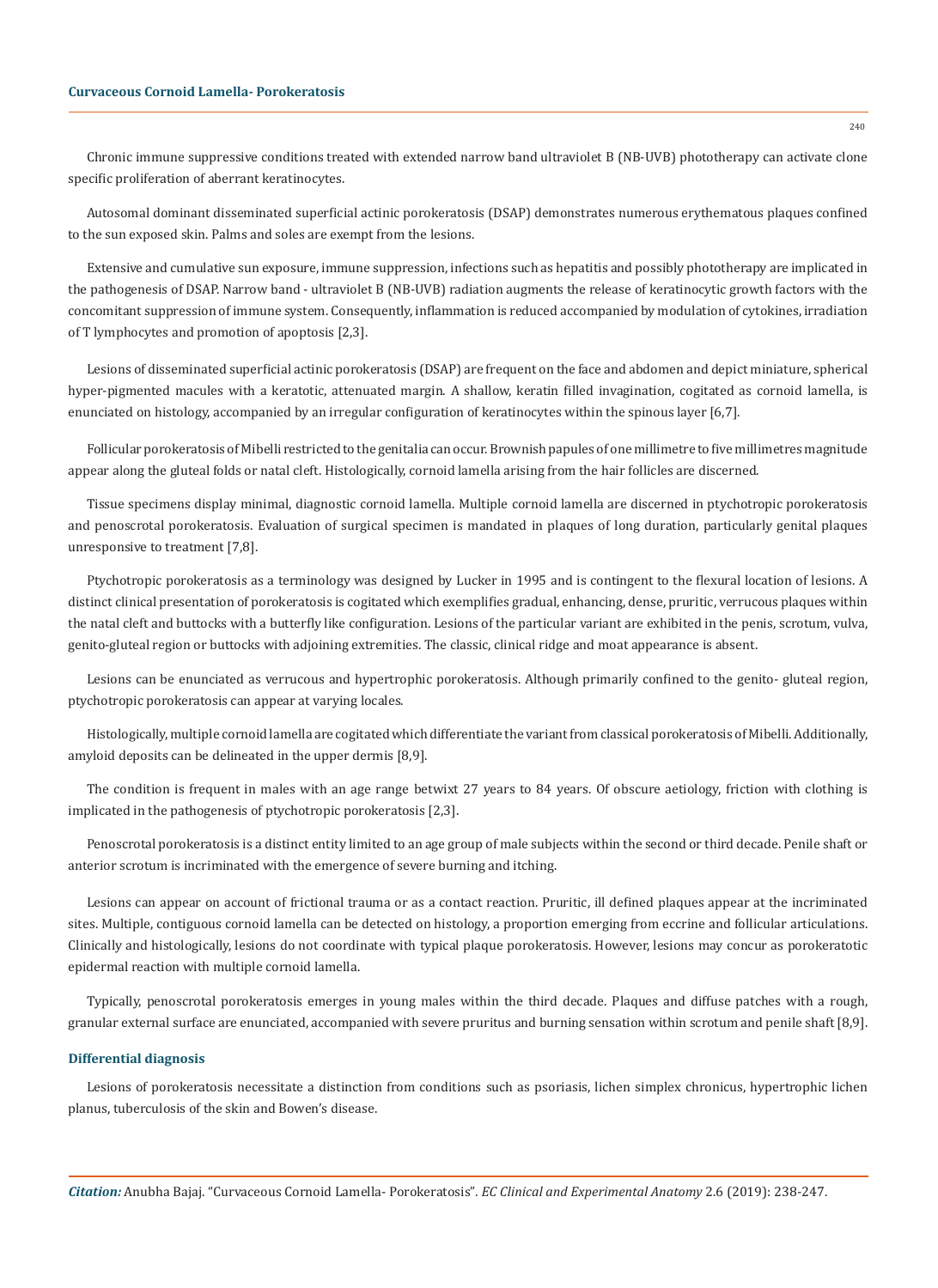# **Curvaceous Cornoid Lamella- Porokeratosis**

Chronic immune suppressive conditions treated with extended narrow band ultraviolet B (NB-UVB) phototherapy can activate clone specific proliferation of aberrant keratinocytes.

Autosomal dominant disseminated superficial actinic porokeratosis (DSAP) demonstrates numerous erythematous plaques confined to the sun exposed skin. Palms and soles are exempt from the lesions.

Extensive and cumulative sun exposure, immune suppression, infections such as hepatitis and possibly phototherapy are implicated in the pathogenesis of DSAP. Narrow band - ultraviolet B (NB-UVB) radiation augments the release of keratinocytic growth factors with the concomitant suppression of immune system. Consequently, inflammation is reduced accompanied by modulation of cytokines, irradiation of T lymphocytes and promotion of apoptosis [2,3].

Lesions of disseminated superficial actinic porokeratosis (DSAP) are frequent on the face and abdomen and depict miniature, spherical hyper-pigmented macules with a keratotic, attenuated margin. A shallow, keratin filled invagination, cogitated as cornoid lamella, is enunciated on histology, accompanied by an irregular configuration of keratinocytes within the spinous layer [6,7].

Follicular porokeratosis of Mibelli restricted to the genitalia can occur. Brownish papules of one millimetre to five millimetres magnitude appear along the gluteal folds or natal cleft. Histologically, cornoid lamella arising from the hair follicles are discerned.

Tissue specimens display minimal, diagnostic cornoid lamella. Multiple cornoid lamella are discerned in ptychotropic porokeratosis and penoscrotal porokeratosis. Evaluation of surgical specimen is mandated in plaques of long duration, particularly genital plaques unresponsive to treatment [7,8].

Ptychotropic porokeratosis as a terminology was designed by Lucker in 1995 and is contingent to the flexural location of lesions. A distinct clinical presentation of porokeratosis is cogitated which exemplifies gradual, enhancing, dense, pruritic, verrucous plaques within the natal cleft and buttocks with a butterfly like configuration. Lesions of the particular variant are exhibited in the penis, scrotum, vulva, genito-gluteal region or buttocks with adjoining extremities. The classic, clinical ridge and moat appearance is absent.

Lesions can be enunciated as verrucous and hypertrophic porokeratosis. Although primarily confined to the genito- gluteal region, ptychotropic porokeratosis can appear at varying locales.

Histologically, multiple cornoid lamella are cogitated which differentiate the variant from classical porokeratosis of Mibelli. Additionally, amyloid deposits can be delineated in the upper dermis [8,9].

The condition is frequent in males with an age range betwixt 27 years to 84 years. Of obscure aetiology, friction with clothing is implicated in the pathogenesis of ptychotropic porokeratosis [2,3].

Penoscrotal porokeratosis is a distinct entity limited to an age group of male subjects within the second or third decade. Penile shaft or anterior scrotum is incriminated with the emergence of severe burning and itching.

Lesions can appear on account of frictional trauma or as a contact reaction. Pruritic, ill defined plaques appear at the incriminated sites. Multiple, contiguous cornoid lamella can be detected on histology, a proportion emerging from eccrine and follicular articulations. Clinically and histologically, lesions do not coordinate with typical plaque porokeratosis. However, lesions may concur as porokeratotic epidermal reaction with multiple cornoid lamella.

Typically, penoscrotal porokeratosis emerges in young males within the third decade. Plaques and diffuse patches with a rough, granular external surface are enunciated, accompanied with severe pruritus and burning sensation within scrotum and penile shaft [8,9].

#### **Differential diagnosis**

Lesions of porokeratosis necessitate a distinction from conditions such as psoriasis, lichen simplex chronicus, hypertrophic lichen planus, tuberculosis of the skin and Bowen's disease.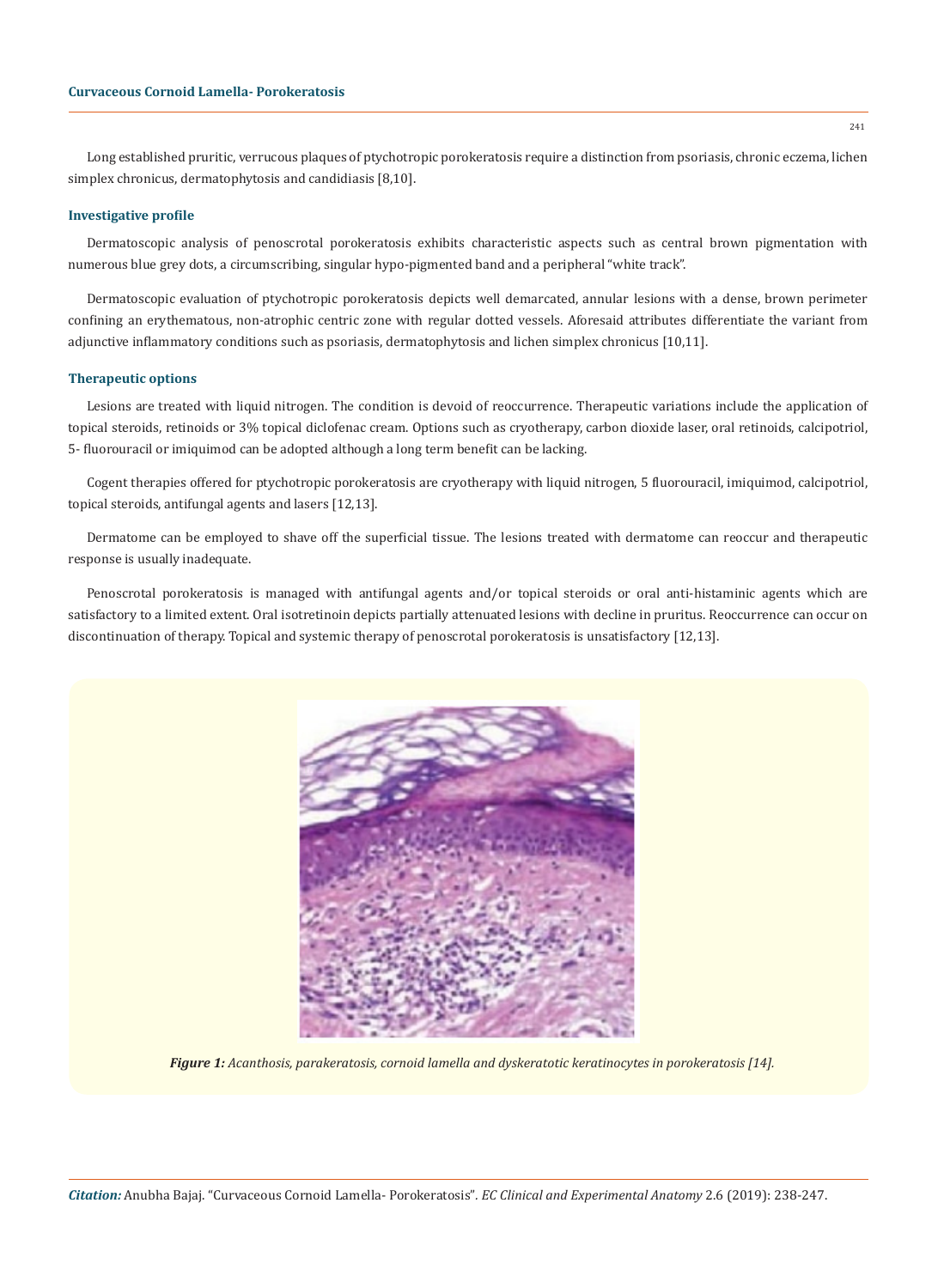Long established pruritic, verrucous plaques of ptychotropic porokeratosis require a distinction from psoriasis, chronic eczema, lichen simplex chronicus, dermatophytosis and candidiasis [8,10].

# **Investigative profile**

Dermatoscopic analysis of penoscrotal porokeratosis exhibits characteristic aspects such as central brown pigmentation with numerous blue grey dots, a circumscribing, singular hypo-pigmented band and a peripheral "white track".

Dermatoscopic evaluation of ptychotropic porokeratosis depicts well demarcated, annular lesions with a dense, brown perimeter confining an erythematous, non-atrophic centric zone with regular dotted vessels. Aforesaid attributes differentiate the variant from adjunctive inflammatory conditions such as psoriasis, dermatophytosis and lichen simplex chronicus [10,11].

# **Therapeutic options**

Lesions are treated with liquid nitrogen. The condition is devoid of reoccurrence. Therapeutic variations include the application of topical steroids, retinoids or 3% topical diclofenac cream. Options such as cryotherapy, carbon dioxide laser, oral retinoids, calcipotriol, 5- fluorouracil or imiquimod can be adopted although a long term benefit can be lacking.

Cogent therapies offered for ptychotropic porokeratosis are cryotherapy with liquid nitrogen, 5 fluorouracil, imiquimod, calcipotriol, topical steroids, antifungal agents and lasers [12,13].

Dermatome can be employed to shave off the superficial tissue. The lesions treated with dermatome can reoccur and therapeutic response is usually inadequate.

Penoscrotal porokeratosis is managed with antifungal agents and/or topical steroids or oral anti-histaminic agents which are satisfactory to a limited extent. Oral isotretinoin depicts partially attenuated lesions with decline in pruritus. Reoccurrence can occur on discontinuation of therapy. Topical and systemic therapy of penoscrotal porokeratosis is unsatisfactory [12,13].



*Figure 1: Acanthosis, parakeratosis, cornoid lamella and dyskeratotic keratinocytes in porokeratosis [14].*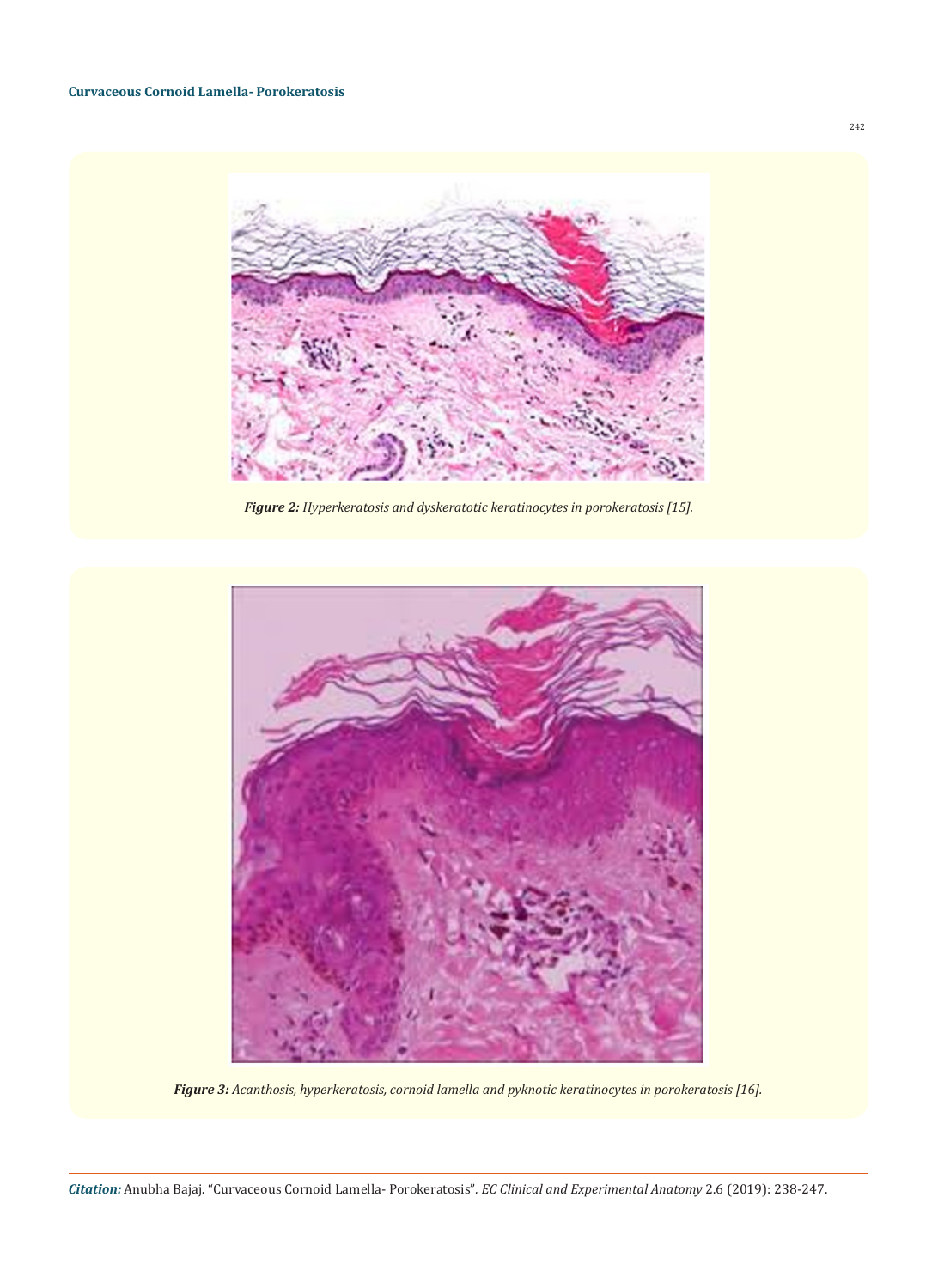

*Figure 2: Hyperkeratosis and dyskeratotic keratinocytes in porokeratosis [15].* 



*Figure 3: Acanthosis, hyperkeratosis, cornoid lamella and pyknotic keratinocytes in porokeratosis [16].*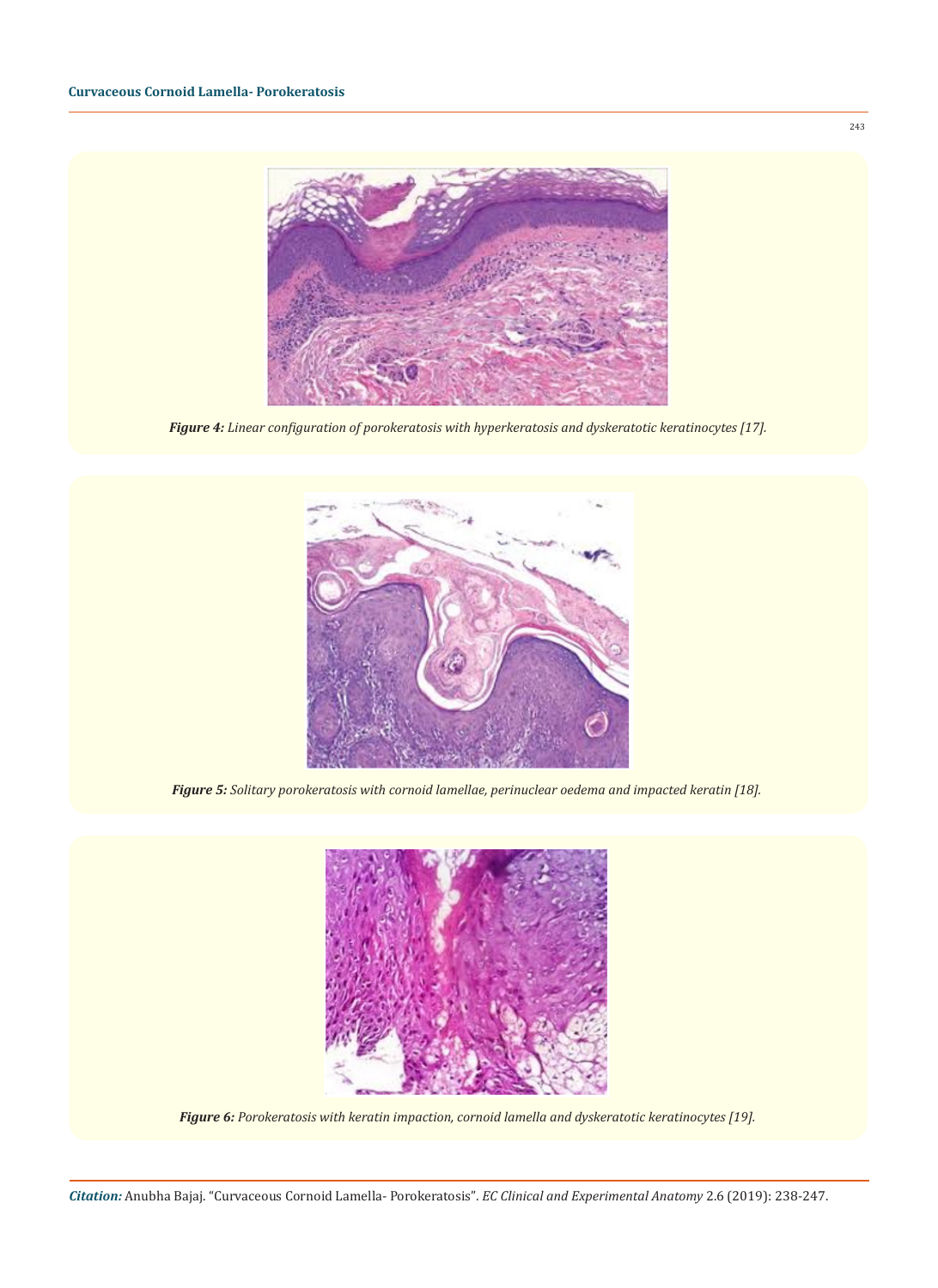

*Figure 4: Linear configuration of porokeratosis with hyperkeratosis and dyskeratotic keratinocytes [17].* 



*Figure 5: Solitary porokeratosis with cornoid lamellae, perinuclear oedema and impacted keratin [18].* 



*Figure 6: Porokeratosis with keratin impaction, cornoid lamella and dyskeratotic keratinocytes [19].* 

243

*Citation:* Anubha Bajaj. "Curvaceous Cornoid Lamella- Porokeratosis"*. EC Clinical and Experimental Anatomy* 2.6 (2019): 238-247.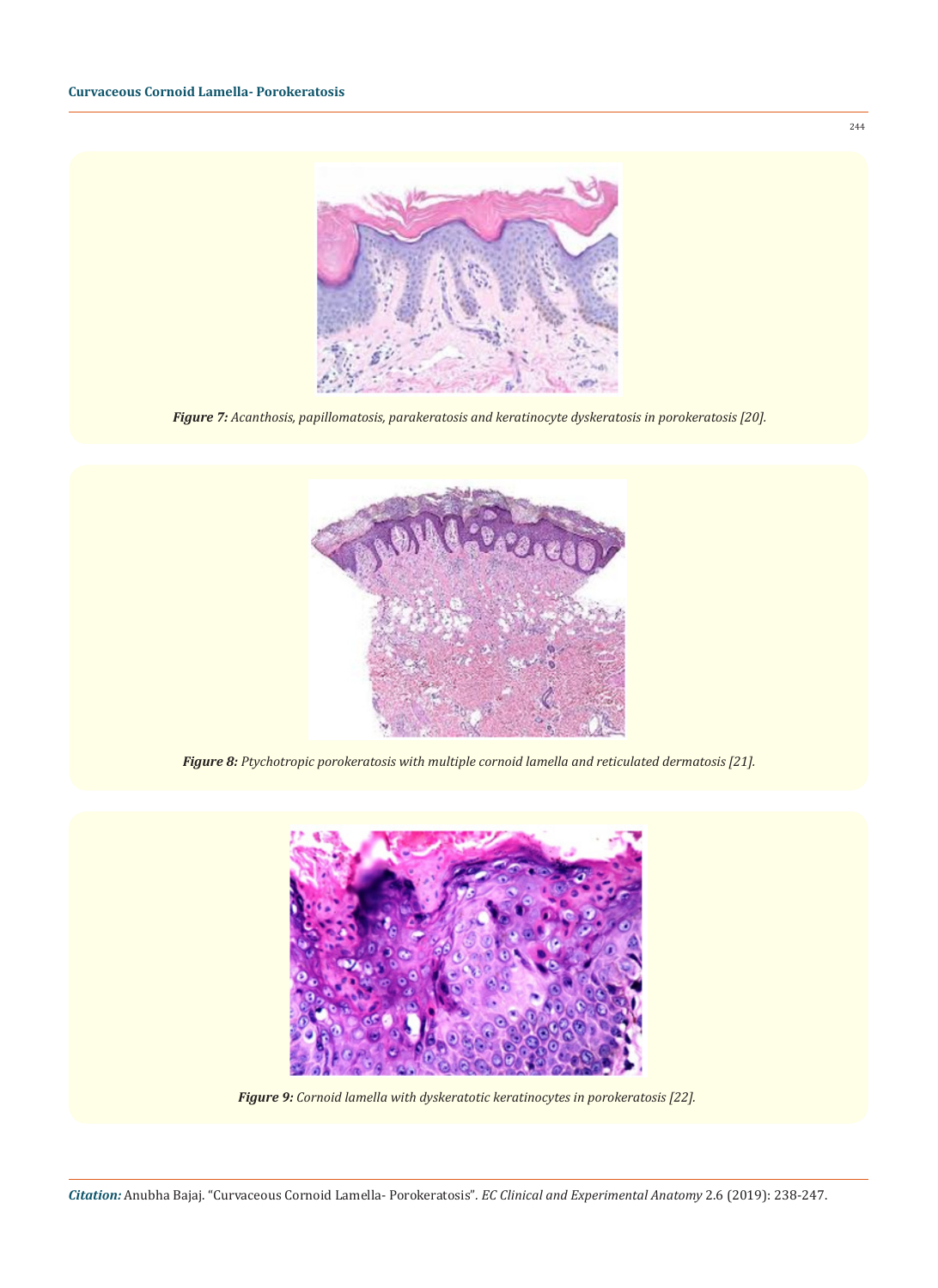

*Figure 7: Acanthosis, papillomatosis, parakeratosis and keratinocyte dyskeratosis in porokeratosis [20].* 



*Figure 8: Ptychotropic porokeratosis with multiple cornoid lamella and reticulated dermatosis [21].*



*Figure 9: Cornoid lamella with dyskeratotic keratinocytes in porokeratosis [22].*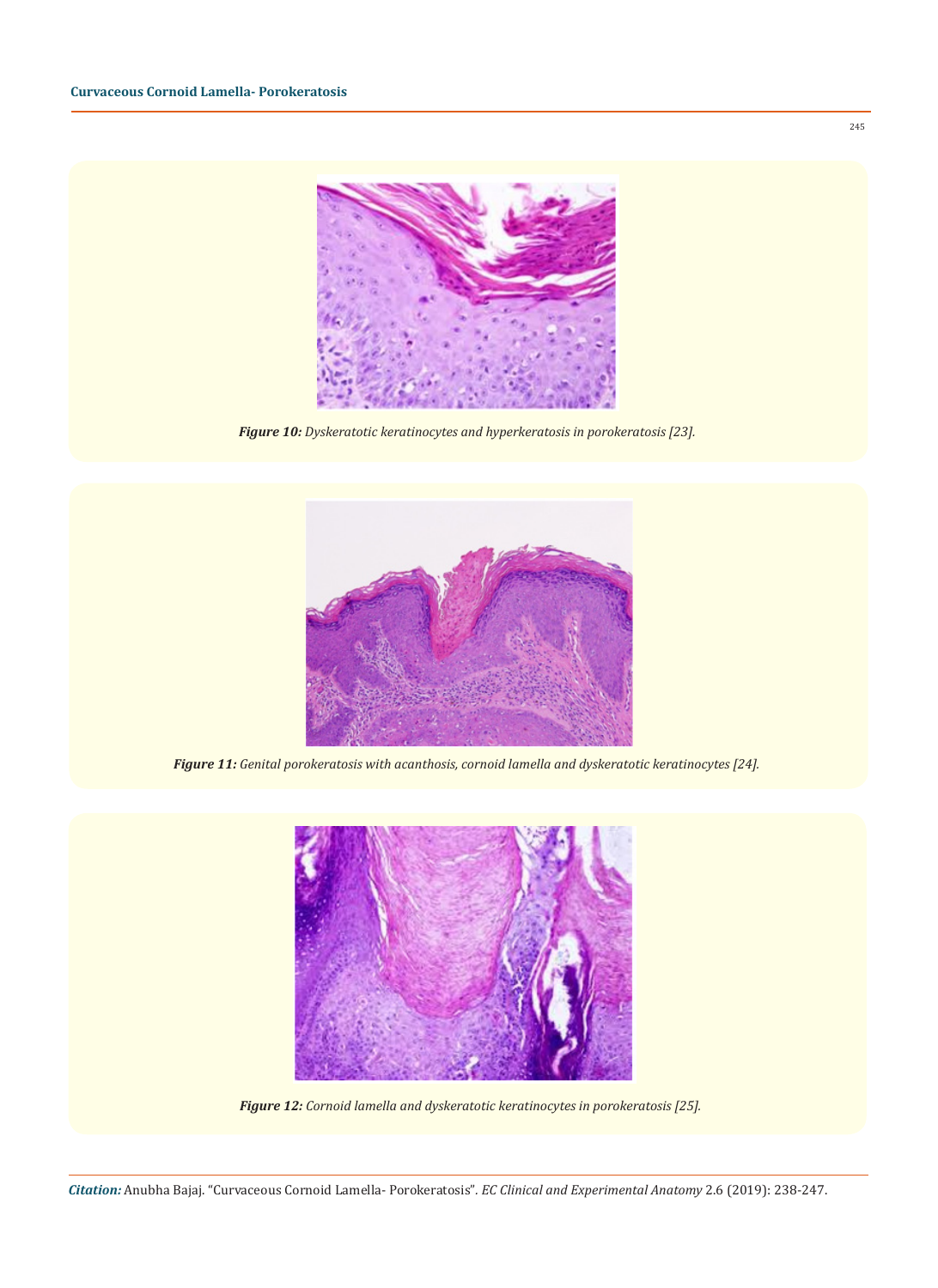

*Figure 10: Dyskeratotic keratinocytes and hyperkeratosis in porokeratosis [23].* 



*Figure 11: Genital porokeratosis with acanthosis, cornoid lamella and dyskeratotic keratinocytes [24].* 



*Figure 12: Cornoid lamella and dyskeratotic keratinocytes in porokeratosis [25].*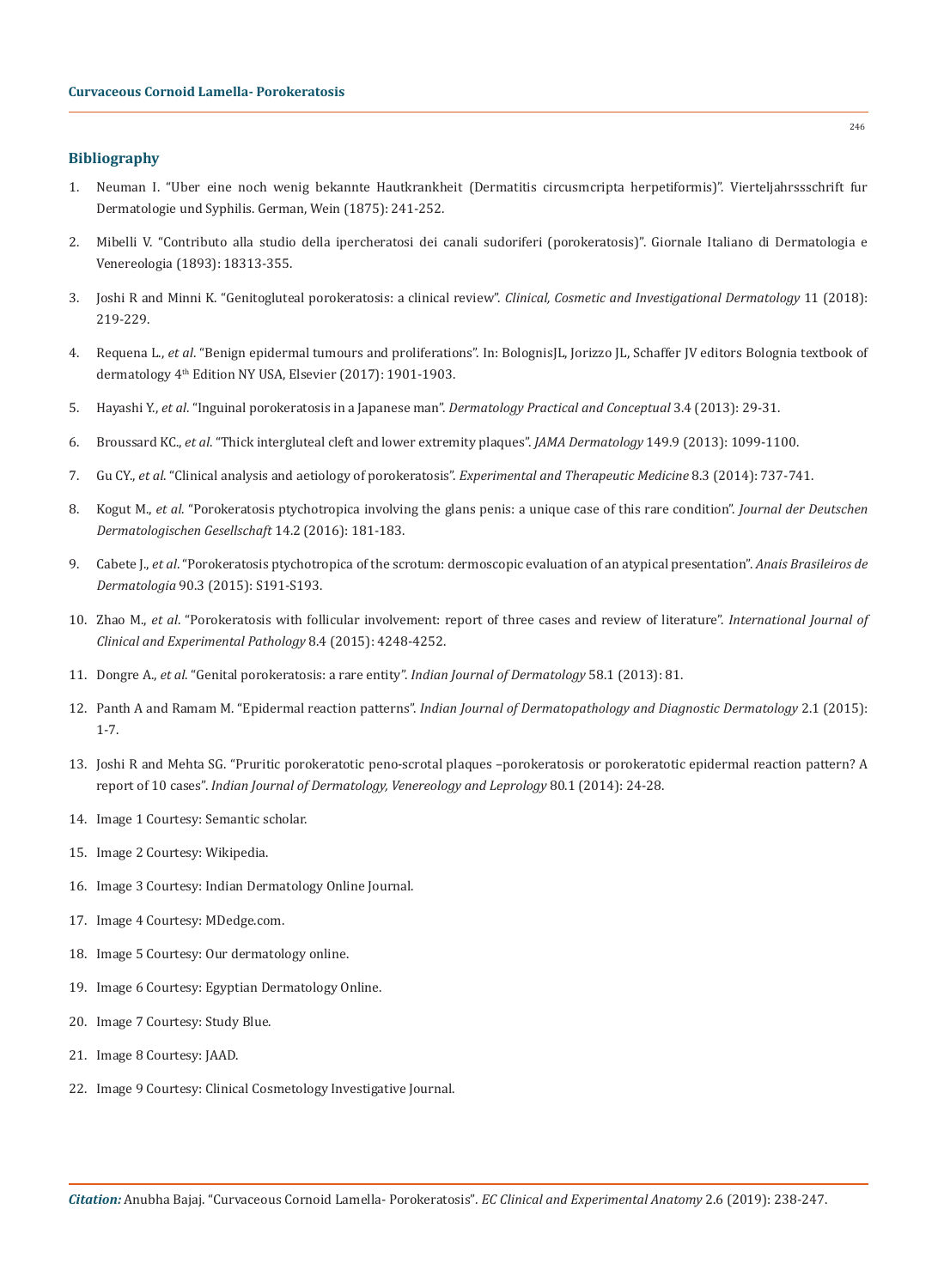## **Bibliography**

- 1. Neuman I. "Uber eine noch wenig bekannte Hautkrankheit (Dermatitis circusmcripta herpetiformis)". Vierteljahrssschrift fur Dermatologie und Syphilis. German, Wein (1875): 241-252.
- 2. Mibelli V. "Contributo alla studio della ipercheratosi dei canali sudoriferi (porokeratosis)". Giornale Italiano di Dermatologia e Venereologia (1893): 18313-355.
- 3. [Joshi R and Minni K. "Genitogluteal porokeratosis: a clinical review".](https://www.ncbi.nlm.nih.gov/pmc/articles/PMC5936488/) *Clinical, Cosmetic and Investigational Dermatology* 11 (2018): [219-229.](https://www.ncbi.nlm.nih.gov/pmc/articles/PMC5936488/)
- 4. Requena L., *et al*. "Benign epidermal tumours and proliferations". In: BolognisJL, Jorizzo JL, Schaffer JV editors Bolognia textbook of dermatology 4<sup>th</sup> Edition NY USA, Elsevier (2017): 1901-1903.
- 5. Hayashi Y., *et al*[. "Inguinal porokeratosis in a Japanese man".](https://www.ncbi.nlm.nih.gov/pubmed/24282660) *Dermatology Practical and Conceptual* 3.4 (2013): 29-31.
- 6. Broussard KC., *et al*[. "Thick intergluteal cleft and lower extremity plaques".](https://www.ncbi.nlm.nih.gov/pubmed/23884167) *JAMA Dermatology* 149.9 (2013): 1099-1100.
- 7. Gu CY., *et al*[. "Clinical analysis and aetiology of porokeratosis".](https://www.ncbi.nlm.nih.gov/pmc/articles/PMC4113647/) *Experimental and Therapeutic Medicine* 8.3 (2014): 737-741.
- 8. Kogut M., *et al*[. "Porokeratosis ptychotropica involving the glans penis: a unique case of this rare condition".](https://www.ncbi.nlm.nih.gov/pubmed/26637107) *Journal der Deutschen [Dermatologischen Gesellschaft](https://www.ncbi.nlm.nih.gov/pubmed/26637107)* 14.2 (2016): 181-183.
- 9. Cabete J., *et al*[. "Porokeratosis ptychotropica of the scrotum: dermoscopic evaluation of an atypical presentation".](https://www.ncbi.nlm.nih.gov/pubmed/26312713) *Anais Brasileiros de Dermatologia* [90.3 \(2015\): S191-S193.](https://www.ncbi.nlm.nih.gov/pubmed/26312713)
- 10. Zhao M., *et al*[. "Porokeratosis with follicular involvement: report of three cases and review of literature".](https://www.ncbi.nlm.nih.gov/pmc/articles/PMC4467007/) *International Journal of [Clinical and Experimental Pathology](https://www.ncbi.nlm.nih.gov/pmc/articles/PMC4467007/)* 8.4 (2015): 4248-4252.
- 11. Dongre A., *et al*[. "Genital porokeratosis: a rare entity".](https://www.ncbi.nlm.nih.gov/pmc/articles/PMC3555386/) *Indian Journal of Dermatology* 58.1 (2013): 81.
- 12. Panth A and Ramam M. "Epidermal reaction patterns". *[Indian Journal of Dermatopathology and Diagnostic Dermatology](http://www.ijdpdd.com/article.asp?issn=WKMP-0052;year=2015;volume=2;issue=1;spage=1;epage=7;aulast=Panth)* 2.1 (2015): [1-7.](http://www.ijdpdd.com/article.asp?issn=WKMP-0052;year=2015;volume=2;issue=1;spage=1;epage=7;aulast=Panth)
- 13. [Joshi R and Mehta SG. "Pruritic porokeratotic peno-scrotal plaques –porokeratosis or porokeratotic epidermal reaction pattern? A](https://www.ncbi.nlm.nih.gov/pubmed/24448119)  report of 10 cases". *[Indian Journal of Dermatology, Venereology and Leprology](https://www.ncbi.nlm.nih.gov/pubmed/24448119)* 80.1 (2014): 24-28.
- 14. Image 1 Courtesy: Semantic scholar.
- 15. Image 2 Courtesy: Wikipedia.
- 16. Image 3 Courtesy: Indian Dermatology Online Journal.
- 17. Image 4 Courtesy: MDedge.com.
- 18. Image 5 Courtesy: Our dermatology online.
- 19. Image 6 Courtesy: Egyptian Dermatology Online.
- 20. Image 7 Courtesy: Study Blue.
- 21. Image 8 Courtesy: JAAD.
- 22. Image 9 Courtesy: Clinical Cosmetology Investigative Journal.